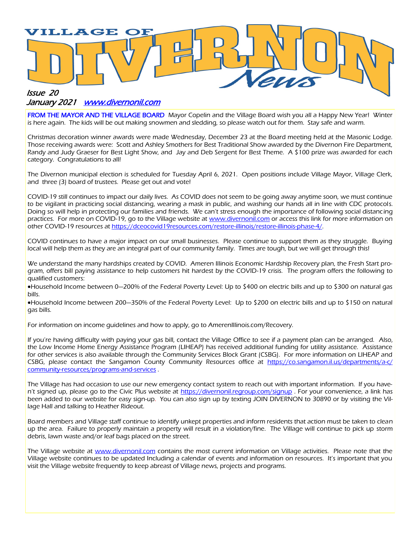

#### January 2021 **www.divernonil.com**

FROM THE MAYOR AND THE VILLAGE BOARD Mayor Copelin and the Village Board wish you all a Happy New Year! Winter is here again. The kids will be out making snowmen and sledding, so please watch out for them. Stay safe and warm.

Christmas decoration winner awards were made Wednesday, December 23 at the Board meeting held at the Masonic Lodge. Those receiving awards were: Scott and Ashley Smothers for Best Traditional Show awarded by the Divernon Fire Department, Randy and Judy Graeser for Best Light Show, and Jay and Deb Sergent for Best Theme. A \$100 prize was awarded for each category. Congratulations to all!

The Divernon municipal election is scheduled for Tuesday April 6, 2021. Open positions include Village Mayor, Village Clerk, and three (3) board of trustees. Please get out and vote!

COVID-19 still continues to impact our daily lives. As COVID does not seem to be going away anytime soon, we must continue to be vigilant in practicing social distancing, wearing a mask in public, and washing our hands all in line with CDC protocols. Doing so will help in protecting our families and friends. We can't stress enough the importance of following social distancing practices. For more on COVID-19, go to the Village website at [www.divernonil.com](http://www.divernonil.com) or access this link for more information on other COVID-19 resources at [https://dceocovid19resources.com/restore-illinois/restore-illinois-phase-4/.](https://dceocovid19resources.com/restore-illinois/restore-illinois-phase-4/)

COVID continues to have a major impact on our small businesses. Please continue to support them as they struggle. Buying local will help them as they are an integral part of our community family. Times are tough, but we will get through this!

We understand the many hardships created by COVID. Ameren Illinois Economic Hardship Recovery plan, the Fresh Start program, offers bill paying assistance to help customers hit hardest by the COVID-19 crisis. The program offers the following to qualified customers:

•Household Income between 0—200% of the Federal Poverty Level: Up to \$400 on electric bills and up to \$300 on natural gas bills.

•Household Income between 200—350% of the Federal Poverty Level: Up to \$200 on electric bills and up to \$150 on natural gas bills.

For information on income guidelines and how to apply, go to AmerenIllinois.com/Recovery.

If you're having difficulty with paying your gas bill, contact the Village Office to see if a payment plan can be arranged. Also, the Low Income Home Energy Assistance Program (LIHEAP) has received additional funding for utility assistance. Assistance for other services is also available through the Community Services Block Grant (CSBG). For more information on LIHEAP and CSBG, please contact the Sangamon County Community Resources office at [https://co.sangamon.il.us/departments/a-c/](https://co.sangamon.il.us/departments/a-c/community-resources/programs-and-services) [community-resources/programs-and-services](https://co.sangamon.il.us/departments/a-c/community-resources/programs-and-services) .

The Village has had occasion to use our new emergency contact system to reach out with important information. If you haven't signed up, please go to the Civic Plus website at <https://divernonil.regroup.com/signup> . For your convenience, a link has been added to our website for easy sign-up. You can also sign up by texting JOIN DIVERNON to 30890 or by visiting the Village Hall and talking to Heather Rideout.

Board members and Village staff continue to identify unkept properties and inform residents that action must be taken to clean up the area. Failure to properly maintain a property will result in a violation/fine. The Village will continue to pick up storm debris, lawn waste and/or leaf bags placed on the street.

The Village website at [www.divernonil.com](http://www.divernonil.com) contains the most current information on Village activities. Please note that the Village website continues to be updated Including a calendar of events and information on resources. It's important that you visit the Village website frequently to keep abreast of Village news, projects and programs.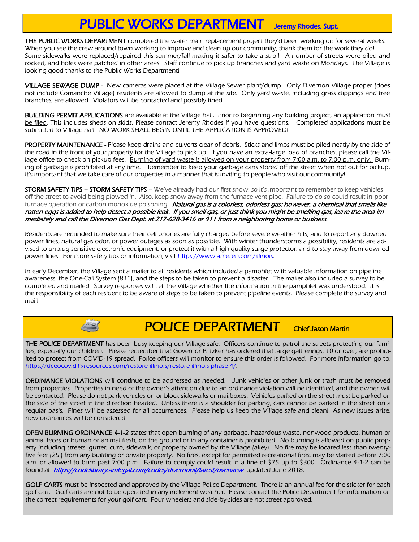## PUBLIC WORKS DEPARTMENT Jeremy Rhodes, Supt.

THE PUBLIC WORKS DEPARTMENT completed the water main replacement project they'd been working on for several weeks. When you see the crew around town working to improve and clean up our community, thank them for the work they do! Some sidewalks were replaced/repaired this summer/fall making it safer to take a stroll. A number of streets were oiled and rocked, and holes were patched in other areas. Staff continue to pick up branches and yard waste on Mondays. The Village is looking good thanks to the Public Works Department!

VILLAGE SEWAGE DUMP - New cameras were placed at the Village Sewer plant/dump. Only Divernon Village proper (does not include Comanche Village) residents are allowed to dump at the site. Only yard waste, including grass clippings and tree branches, are allowed. Violators will be contacted and possibly fined.

BUILDING PERMIT APPLICATIONS are available at the Village hall. Prior to beginning any building project, an application must be filed. This includes sheds on skids. Please contact Jeremy Rhodes if you have questions. Completed applications must be submitted to Village hall. NO WORK SHALL BEGIN UNTIL THE APPLICATION IS APPROVED!

PROPERTY MAINTENANCE - Please keep drains and culverts clear of debris. Sticks and limbs must be piled neatly by the side of the road in the front of your property for the Village to pick up. If you have an extra-large load of branches, please call the Village office to check on pickup fees. Burning of yard waste is allowed on your property from 7:00 a.m. to 7:00 p.m. only. Burning of garbage is prohibited at any time. Remember to keep your garbage cans stored off the street when not out for pickup. It's important that we take care of our properties in a manner that is inviting to people who visit our community!

STORM SAFETY TIPS – STORM SAFETY TIPS – We've already had our first snow, so it's important to remember to keep vehicles off the street to avoid being plowed in. Also, keep snow away from the furnace vent pipe. Failure to do so could result in poor furnace operation or carbon monoxide poisoning. Natural gas is a colorless, odorless gas; however, a chemical that smells like rotten eggs is added to help detect a possible leak. If you smell gas, or just think you might be smelling gas, leave the area immediately and call the Divernon Gas Dept. at 217-628-3416 or 911 from a neighboring home or business.

Residents are reminded to make sure their cell phones are fully charged before severe weather hits, and to report any downed power lines, natural gas odor, or power outages as soon as possible. With winter thunderstorms a possibility, residents are advised to unplug sensitive electronic equipment, or protect it with a high-quality surge protector, and to stay away from downed power lines. For more safety tips or information, visit https://www.ameren.com/illinois.

In early December, the Village sent a mailer to all residents which included a pamphlet with valuable information on pipeline awareness, the One-Call System (811), and the steps to be taken to prevent a disaster. The mailer also included a survey to be completed and mailed. Survey responses will tell the Village whether the information in the pamphlet was understood. It is the responsibility of each resident to be aware of steps to be taken to prevent pipeline events. Please complete the survey and mail!

# POLICE DEPARTMENT Chief Jason Martin

THE POLICE DEPARTMENT has been busy keeping our Village safe. Officers continue to patrol the streets protecting our families, especially our children. Please remember that Governor Pritzker has ordered that large gatherings, 10 or over, are prohibited to protect from COVID-19 spread. Police officers will monitor to ensure this order is followed. For more information go to: [https://dceocovid19resources.com/restore-illinois/restore-illinois-phase-4/.](https://dceocovid19resources.com/restore-illinois/restore-illinois-phase-4/)

ORDINANCE VIOLATIONS will continue to be addressed as needed. Junk vehicles or other junk or trash must be removed from properties. Properties in need of the owner's attention due to an ordinance violation will be identified, and the owner will be contacted. Please do not park vehicles on or block sidewalks or mailboxes. Vehicles parked on the street must be parked on the side of the street in the direction headed. Unless there is a shoulder for parking, cars cannot be parked in the street on a regular basis. Fines will be assessed for all occurrences. Please help us keep the Village safe and clean! As new issues arise, new ordinances will be considered.

OPEN BURNING ORDINANCE 4-1-2 states that open burning of any garbage, hazardous waste, nonwood products, human or animal feces or human or animal flesh, on the ground or in any container is prohibited. No burning is allowed on public property including streets, gutter, curb, sidewalk, or property owned by the Village (alley). No fire may be located less than twentyfive feet (25') from any building or private property. No fires, except for permitted recreational fires, may be started before 7:00 a.m. or allowed to burn past 7:00 p.m. Failure to comply could result in a fine of \$75 up to \$300. Ordinance 4-1-2 can be found at <https://codelibrary.amlegal.com/codes/divernonil/latest/overview> updated June 2018.

GOLF CARTS must be inspected and approved by the Village Police Department. There is an annual fee for the sticker for each golf cart. Golf carts are not to be operated in any inclement weather. Please contact the Police Department for information on the correct requirements for your golf cart. Four wheelers and side-by-sides are not street approved.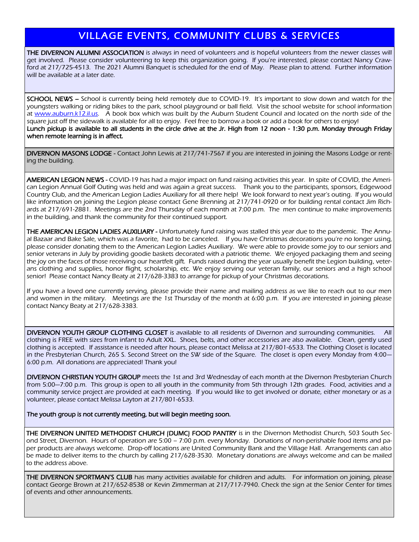#### VILLAGE EVENTS, COMMUNITY CLUBS & SERVICES

THE DIVERNON ALUMNI ASSOCIATION is always in need of volunteers and is hopeful volunteers from the newer classes will get involved. Please consider volunteering to keep this organization going. If you're interested, please contact Nancy Crawford at 217/725-4513. The 2021 Alumni Banquet is scheduled for the end of May. Please plan to attend. Further information will be available at a later date.

SCHOOL NEWS – School is currently being held remotely due to COVID-19. It's important to slow down and watch for the youngsters walking or riding bikes to the park, school playground or ball field. Visit the school website for school information at [www.auburn.k12.il.us.](http://www.auburn.k12.il.us) A book box which was built by the Auburn Student Council and located on the north side of the square just off the sidewalk is available for all to enjoy. Feel free to borrow a book or add a book for others to enjoy! Lunch pickup is available to all students in the circle drive at the Jr. High from 12 noon - 1:30 p.m. Monday through Friday when remote learning is in affect.

DIVERNON MASONS LODGE - Contact John Lewis at 217/741-7567 if you are interested in joining the Masons Lodge or renting the building.

AMERICAN LEGION NEWS - COVID-19 has had a major impact on fund raising activities this year. In spite of COVID, the American Legion Annual Golf Outing was held and was again a great success. Thank you to the participants, sponsors, Edgewood Country Club, and the American Legion Ladies Auxiliary for all there help! We look forward to next year's outing. If you would like information on joining the Legion please contact Gene Brenning at 217/741-0920 or for building rental contact Jim Richards at 217/691-2881. Meetings are the 2nd Thursday of each month at 7:00 p.m. The men continue to make improvements in the building, and thank the community for their continued support.

THE AMERICAN LEGION LADIES AUXILIARY - Unfortunately fund raising was stalled this year due to the pandemic. The Annual Bazaar and Bake Sale, which was a favorite, had to be canceled. If you have Christmas decorations you're no longer using, please consider donating them to the American Legion Ladies Auxiliary. We were able to provide some joy to our seniors and senior veterans in July by providing goodie baskets decorated with a patriotic theme. We enjoyed packaging them and seeing the joy on the faces of those receiving our heartfelt gift. Funds raised during the year usually benefit the Legion building, veterans clothing and supplies, honor flight, scholarship, etc. We enjoy serving our veteran family, our seniors and a high school senior! Please contact Nancy Beaty at 217/628-3383 to arrange for pickup of your Christmas decorations.

If you have a loved one currently serving, please provide their name and mailing address as we like to reach out to our men and women in the military. Meetings are the 1st Thursday of the month at 6:00 p.m. If you are interested in joining please contact Nancy Beaty at 217/628-3383.

DIVERNON YOUTH GROUP CLOTHING CLOSET is available to all residents of Divernon and surrounding communities. clothing is FREE with sizes from infant to Adult XXL. Shoes, belts, and other accessories are also available. Clean, gently used clothing is accepted. If assistance is needed after hours, please contact Melissa at 217/801-6533. The Clothing Closet is located in the Presbyterian Church, 265 S. Second Street on the SW side of the Square. The closet is open every Monday from 4:00— 6:00 p.m. All donations are appreciated! Thank you!

DIVERNON CHRISTIAN YOUTH GROUP meets the 1st and 3rd Wednesday of each month at the Divernon Presbyterian Church from 5:00—7:00 p.m. This group is open to all youth in the community from 5th through 12th grades. Food, activities and a community service project are provided at each meeting. If you would like to get involved or donate, either monetary or as a volunteer, please contact Melissa Layton at 217/801-6533.

The youth group is not currently meeting, but will begin meeting soon.

THE DIVERNON UNITED METHODIST CHURCH (DUMC) FOOD PANTRY is in the Divernon Methodist Church, 503 South Second Street, Divernon. Hours of operation are 5:00 – 7:00 p.m. every Monday. Donations of non-perishable food items and paper products are always welcome. Drop-off locations are United Community Bank and the Village Hall. Arrangements can also be made to deliver items to the church by calling 217/628-3530. Monetary donations are always welcome and can be mailed to the address above.

THE DIVERNON SPORTMAN'S CLUB has many activities available for children and adults. For information on joining, please contact George Brown at 217/652-8538 or Kevin Zimmerman at 217/717-7940. Check the sign at the Senior Center for times of events and other announcements.